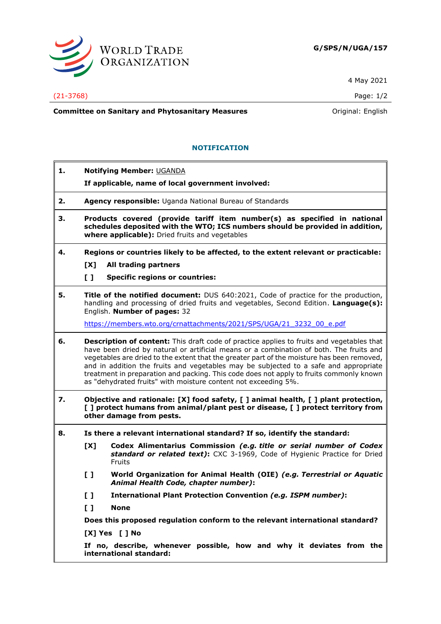

4 May 2021

(21-3768) Page: 1/2

**Committee on Sanitary and Phytosanitary Measures Committee on Sanitary and Phytosanitary Measures Committee And American** 

# **NOTIFICATION**

- **1. Notifying Member:** UGANDA
	- **If applicable, name of local government involved:**
- **2. Agency responsible:** Uganda National Bureau of Standards
- **3. Products covered (provide tariff item number(s) as specified in national schedules deposited with the WTO; ICS numbers should be provided in addition, where applicable):** Dried fruits and vegetables
- **4. Regions or countries likely to be affected, to the extent relevant or practicable: [X] All trading partners**
	-
	- **[ ] Specific regions or countries:**
- **5. Title of the notified document:** DUS 640:2021, Code of practice for the production, handling and processing of dried fruits and vegetables, Second Edition. **Language(s):** English. **Number of pages:** 32

[https://members.wto.org/crnattachments/2021/SPS/UGA/21\\_3232\\_00\\_e.pdf](https://members.wto.org/crnattachments/2021/SPS/UGA/21_3232_00_e.pdf)

- **6. Description of content:** This draft code of practice applies to fruits and vegetables that have been dried by natural or artificial means or a combination of both. The fruits and vegetables are dried to the extent that the greater part of the moisture has been removed, and in addition the fruits and vegetables may be subjected to a safe and appropriate treatment in preparation and packing. This code does not apply to fruits commonly known as "dehydrated fruits" with moisture content not exceeding 5%.
- **7. Objective and rationale: [X] food safety, [ ] animal health, [ ] plant protection, [ ] protect humans from animal/plant pest or disease, [ ] protect territory from other damage from pests.**
- **8. Is there a relevant international standard? If so, identify the standard:**
	- **[X] Codex Alimentarius Commission** *(e.g. title or serial number of Codex standard or related text)***:** CXC 3-1969, Code of Hygienic Practice for Dried Fruits
	- **[ ] World Organization for Animal Health (OIE)** *(e.g. Terrestrial or Aquatic Animal Health Code, chapter number)***:**
	- **[ ] International Plant Protection Convention** *(e.g. ISPM number)***:**
	- **[ ] None**

**Does this proposed regulation conform to the relevant international standard?** 

**[X] Yes [ ] No**

**If no, describe, whenever possible, how and why it deviates from the international standard:**